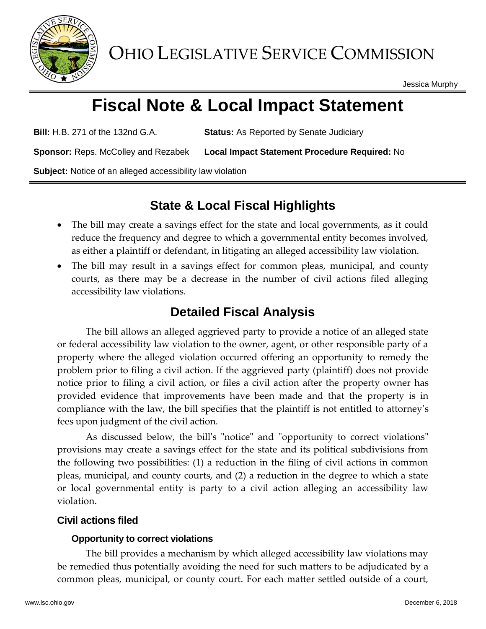

OHIO LEGISLATIVE SERVICE COMMISSION

Jessica Murphy

# **Fiscal Note & Local Impact Statement**

**Bill:** H.B. 271 of the 132nd G.A. **Status:** As Reported by Senate Judiciary

**Sponsor:** Reps. McColley and Rezabek **Local Impact Statement Procedure Required:** No

**Subject:** Notice of an alleged accessibility law violation

## **State & Local Fiscal Highlights**

- The bill may create a savings effect for the state and local governments, as it could reduce the frequency and degree to which a governmental entity becomes involved, as either a plaintiff or defendant, in litigating an alleged accessibility law violation.
- The bill may result in a savings effect for common pleas, municipal, and county courts, as there may be a decrease in the number of civil actions filed alleging accessibility law violations.

## **Detailed Fiscal Analysis**

The bill allows an alleged aggrieved party to provide a notice of an alleged state or federal accessibility law violation to the owner, agent, or other responsible party of a property where the alleged violation occurred offering an opportunity to remedy the problem prior to filing a civil action. If the aggrieved party (plaintiff) does not provide notice prior to filing a civil action, or files a civil action after the property owner has provided evidence that improvements have been made and that the property is in compliance with the law, the bill specifies that the plaintiff is not entitled to attorney's fees upon judgment of the civil action.

As discussed below, the bill's "notice" and "opportunity to correct violations" provisions may create a savings effect for the state and its political subdivisions from the following two possibilities: (1) a reduction in the filing of civil actions in common pleas, municipal, and county courts, and (2) a reduction in the degree to which a state or local governmental entity is party to a civil action alleging an accessibility law violation.

### **Civil actions filed**

#### **Opportunity to correct violations**

The bill provides a mechanism by which alleged accessibility law violations may be remedied thus potentially avoiding the need for such matters to be adjudicated by a common pleas, municipal, or county court. For each matter settled outside of a court,